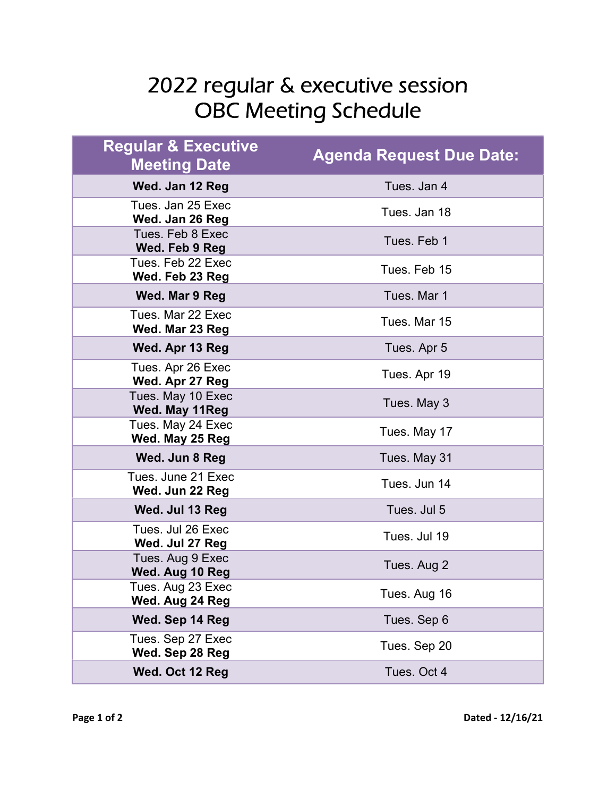## 2022 regular & executive session OBC Meeting Schedule

| <b>Regular &amp; Executive</b><br><b>Meeting Date</b> | <b>Agenda Request Due Date:</b> |
|-------------------------------------------------------|---------------------------------|
| Wed. Jan 12 Reg                                       | Tues. Jan 4                     |
| Tues. Jan 25 Exec<br>Wed. Jan 26 Reg                  | Tues, Jan 18                    |
| Tues. Feb 8 Exec<br>Wed. Feb 9 Reg                    | Tues. Feb 1                     |
| Tues. Feb 22 Exec<br>Wed. Feb 23 Reg                  | Tues. Feb 15                    |
| Wed. Mar 9 Reg                                        | Tues, Mar 1                     |
| Tues. Mar 22 Exec<br>Wed. Mar 23 Reg                  | Tues. Mar 15                    |
| Wed. Apr 13 Reg                                       | Tues. Apr 5                     |
| Tues. Apr 26 Exec<br>Wed. Apr 27 Reg                  | Tues. Apr 19                    |
| Tues. May 10 Exec<br>Wed. May 11Reg                   | Tues. May 3                     |
| Tues. May 24 Exec<br>Wed. May 25 Reg                  | Tues. May 17                    |
| Wed. Jun 8 Reg                                        | Tues. May 31                    |
| Tues. June 21 Exec<br>Wed. Jun 22 Reg                 | Tues. Jun 14                    |
| Wed. Jul 13 Reg                                       | Tues. Jul 5                     |
| Tues. Jul 26 Exec<br>Wed. Jul 27 Reg                  | Tues, Jul 19                    |
| Tues. Aug 9 Exec<br>Wed. Aug 10 Reg                   | Tues. Aug 2                     |
| Tues. Aug 23 Exec<br>Wed. Aug 24 Reg                  | Tues. Aug 16                    |
| Wed. Sep 14 Reg                                       | Tues. Sep 6                     |
| Tues. Sep 27 Exec<br>Wed. Sep 28 Reg                  | Tues. Sep 20                    |
| Wed. Oct 12 Reg                                       | Tues. Oct 4                     |